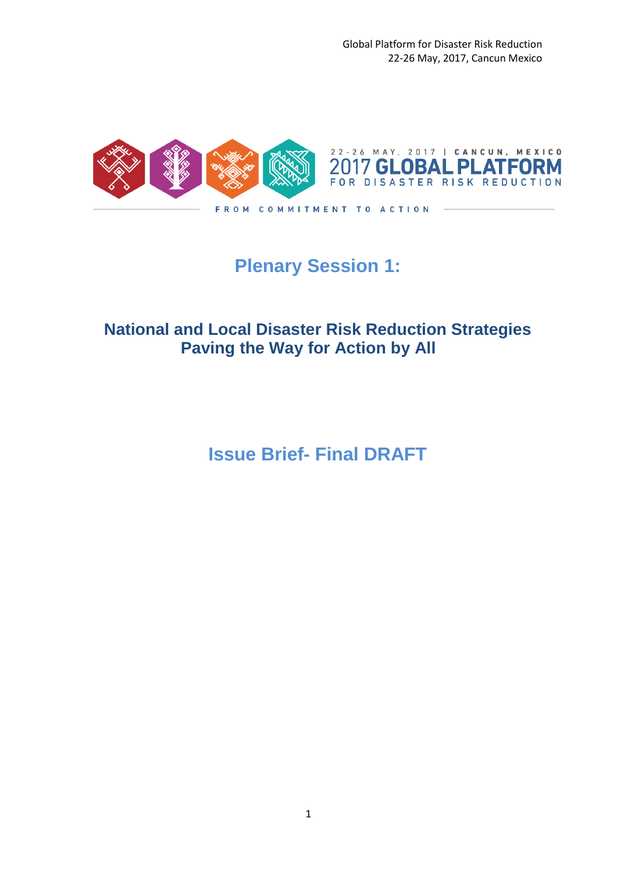Global Platform for Disaster Risk Reduction 22-26 May, 2017, Cancun Mexico



# **Plenary Session 1:**

## **National and Local Disaster Risk Reduction Strategies Paving the Way for Action by All**

**Issue Brief- Final DRAFT**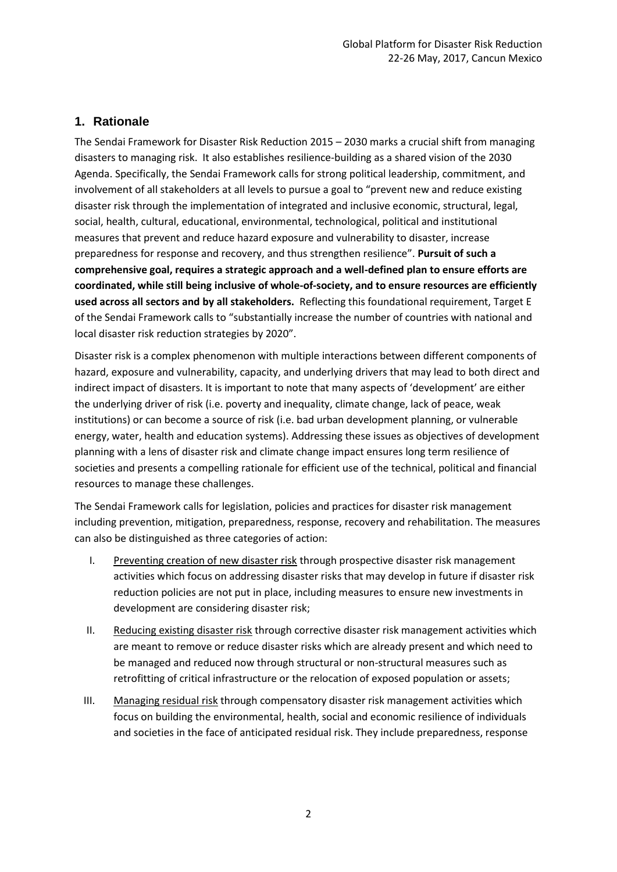## **1. Rationale**

The Sendai Framework for Disaster Risk Reduction 2015 – 2030 marks a crucial shift from managing disasters to managing risk. It also establishes resilience-building as a shared vision of the 2030 Agenda. Specifically, the Sendai Framework calls for strong political leadership, commitment, and involvement of all stakeholders at all levels to pursue a goal to "prevent new and reduce existing disaster risk through the implementation of integrated and inclusive economic, structural, legal, social, health, cultural, educational, environmental, technological, political and institutional measures that prevent and reduce hazard exposure and vulnerability to disaster, increase preparedness for response and recovery, and thus strengthen resilience". **Pursuit of such a comprehensive goal, requires a strategic approach and a well-defined plan to ensure efforts are coordinated, while still being inclusive of whole-of-society, and to ensure resources are efficiently used across all sectors and by all stakeholders.** Reflecting this foundational requirement, Target E of the Sendai Framework calls to "substantially increase the number of countries with national and local disaster risk reduction strategies by 2020".

Disaster risk is a complex phenomenon with multiple interactions between different components of hazard, exposure and vulnerability, capacity, and underlying drivers that may lead to both direct and indirect impact of disasters. It is important to note that many aspects of 'development' are either the underlying driver of risk (i.e. poverty and inequality, climate change, lack of peace, weak institutions) or can become a source of risk (i.e. bad urban development planning, or vulnerable energy, water, health and education systems). Addressing these issues as objectives of development planning with a lens of disaster risk and climate change impact ensures long term resilience of societies and presents a compelling rationale for efficient use of the technical, political and financial resources to manage these challenges.

The Sendai Framework calls for legislation, policies and practices for disaster risk management including prevention, mitigation, preparedness, response, recovery and rehabilitation. The measures can also be distinguished as three categories of action:

- I. Preventing creation of new disaster risk through prospective disaster risk management activities which focus on addressing disaster risks that may develop in future if disaster risk reduction policies are not put in place, including measures to ensure new investments in development are considering disaster risk;
- II. Reducing existing disaster risk through corrective disaster risk management activities which are meant to remove or reduce disaster risks which are already present and which need to be managed and reduced now through structural or non-structural measures such as retrofitting of critical infrastructure or the relocation of exposed population or assets;
- III. Managing residual risk through compensatory disaster risk management activities which focus on building the environmental, health, social and economic resilience of individuals and societies in the face of anticipated residual risk. They include preparedness, response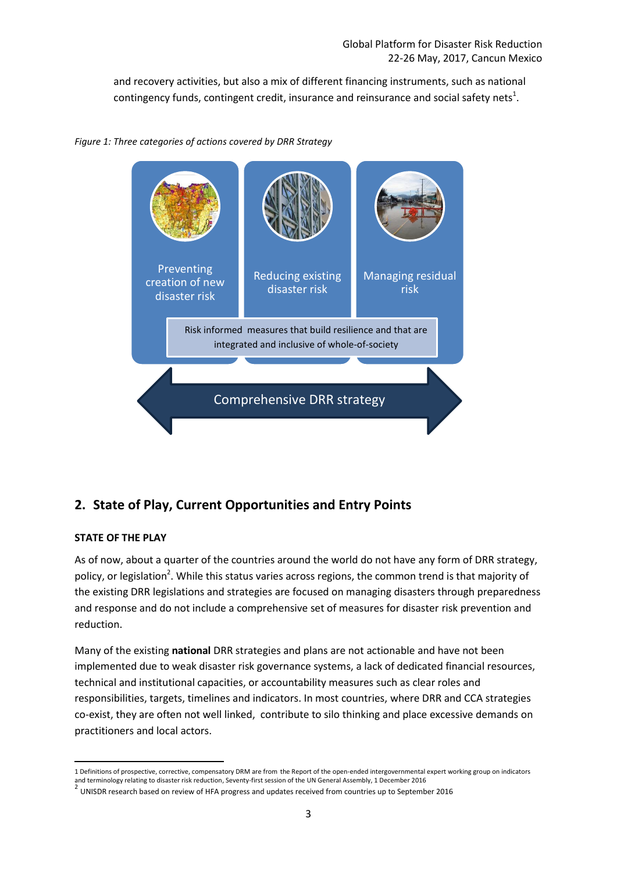and recovery activities, but also a mix of different financing instruments, such as national contingency funds, contingent credit, insurance and reinsurance and social safety nets<sup>1</sup>.

*Figure 1: Three categories of actions covered by DRR Strategy*



## **2. State of Play, Current Opportunities and Entry Points**

## **STATE OF THE PLAY**

As of now, about a quarter of the countries around the world do not have any form of DRR strategy, policy, or legislation<sup>2</sup>. While this status varies across regions, the common trend is that majority of the existing DRR legislations and strategies are focused on managing disasters through preparedness and response and do not include a comprehensive set of measures for disaster risk prevention and reduction.

Many of the existing **national** DRR strategies and plans are not actionable and have not been implemented due to weak disaster risk governance systems, a lack of dedicated financial resources, technical and institutional capacities, or accountability measures such as clear roles and responsibilities, targets, timelines and indicators. In most countries, where DRR and CCA strategies co-exist, they are often not well linked, contribute to silo thinking and place excessive demands on practitioners and local actors.

<sup>1</sup> 1 Definitions of prospective, corrective, compensatory DRM are from the Report of the open-ended intergovernmental expert working group on indicators and terminology relating to disaster risk reduction, Seventy-first session of the UN General Assembly, 1 December 2016

 $^2$  UNISDR research based on review of HFA progress and updates received from countries up to September 2016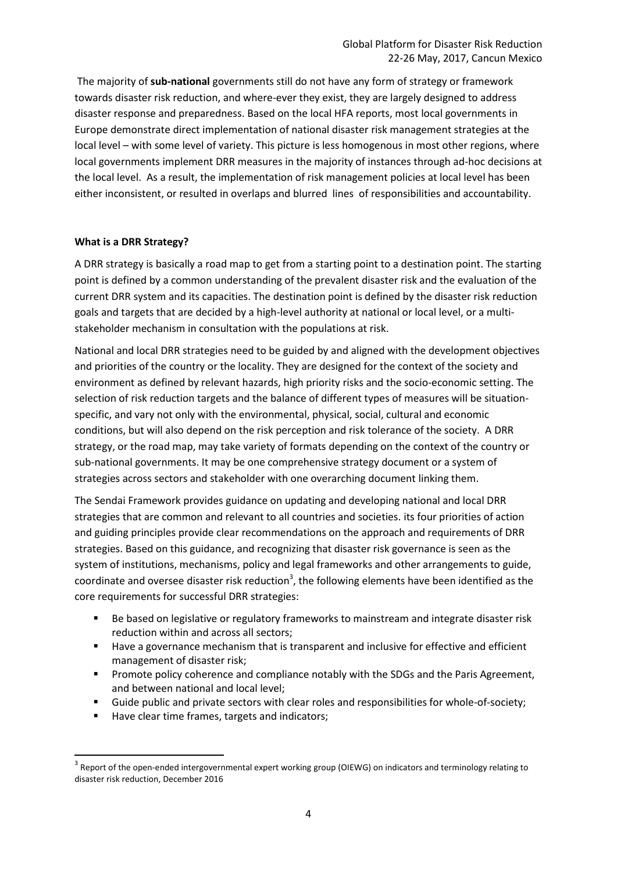The majority of **sub-national** governments still do not have any form of strategy or framework towards disaster risk reduction, and where-ever they exist, they are largely designed to address disaster response and preparedness. Based on the local HFA reports, most local governments in Europe demonstrate direct implementation of national disaster risk management strategies at the local level – with some level of variety. This picture is less homogenous in most other regions, where local governments implement DRR measures in the majority of instances through ad-hoc decisions at the local level. As a result, the implementation of risk management policies at local level has been either inconsistent, or resulted in overlaps and blurred lines of responsibilities and accountability.

#### **What is a DRR Strategy?**

A DRR strategy is basically a road map to get from a starting point to a destination point. The starting point is defined by a common understanding of the prevalent disaster risk and the evaluation of the current DRR system and its capacities. The destination point is defined by the disaster risk reduction goals and targets that are decided by a high-level authority at national or local level, or a multistakeholder mechanism in consultation with the populations at risk.

National and local DRR strategies need to be guided by and aligned with the development objectives and priorities of the country or the locality. They are designed for the context of the society and environment as defined by relevant hazards, high priority risks and the socio-economic setting. The selection of risk reduction targets and the balance of different types of measures will be situationspecific, and vary not only with the environmental, physical, social, cultural and economic conditions, but will also depend on the risk perception and risk tolerance of the society. A DRR strategy, or the road map, may take variety of formats depending on the context of the country or sub-national governments. It may be one comprehensive strategy document or a system of strategies across sectors and stakeholder with one overarching document linking them.

The Sendai Framework provides guidance on updating and developing national and local DRR strategies that are common and relevant to all countries and societies. its four priorities of action and guiding principles provide clear recommendations on the approach and requirements of DRR strategies. Based on this guidance, and recognizing that disaster risk governance is seen as the system of institutions, mechanisms, policy and legal frameworks and other arrangements to guide, coordinate and oversee disaster risk reduction<sup>3</sup>, the following elements have been identified as the core requirements for successful DRR strategies:

- Be based on legislative or regulatory frameworks to mainstream and integrate disaster risk reduction within and across all sectors;
- Have a governance mechanism that is transparent and inclusive for effective and efficient management of disaster risk;
- **Promote policy coherence and compliance notably with the SDGs and the Paris Agreement,** and between national and local level;
- Guide public and private sectors with clear roles and responsibilities for whole-of-society;
- Have clear time frames, targets and indicators;

**.** 

 $3$  Report of the open-ended intergovernmental expert working group (OIEWG) on indicators and terminology relating to disaster risk reduction, December 2016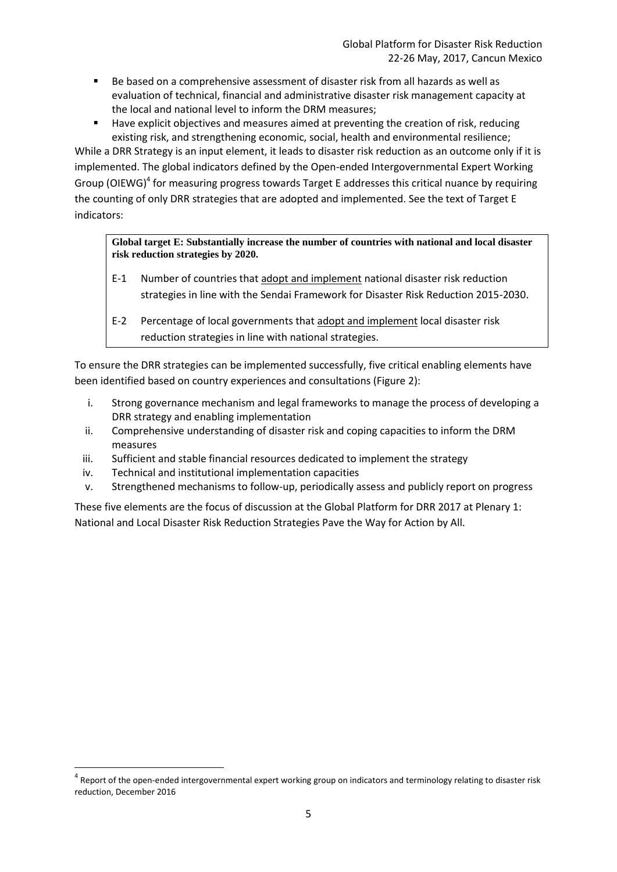- Be based on a comprehensive assessment of disaster risk from all hazards as well as evaluation of technical, financial and administrative disaster risk management capacity at the local and national level to inform the DRM measures;
- Have explicit objectives and measures aimed at preventing the creation of risk, reducing existing risk, and strengthening economic, social, health and environmental resilience;

While a DRR Strategy is an input element, it leads to disaster risk reduction as an outcome only if it is implemented. The global indicators defined by the Open-ended Intergovernmental Expert Working Group (OIEWG)<sup>4</sup> for measuring progress towards Target E addresses this critical nuance by requiring the counting of only DRR strategies that are adopted and implemented. See the text of Target E indicators:

#### **Global target E: Substantially increase the number of countries with national and local disaster risk reduction strategies by 2020.**

- E-1 Number of countries that adopt and implement national disaster risk reduction strategies in line with the Sendai Framework for Disaster Risk Reduction 2015-2030.
- E-2 Percentage of local governments that adopt and implement local disaster risk reduction strategies in line with national strategies.

To ensure the DRR strategies can be implemented successfully, five critical enabling elements have been identified based on country experiences and consultations (Figure 2):

- i. Strong governance mechanism and legal frameworks to manage the process of developing a DRR strategy and enabling implementation
- ii. Comprehensive understanding of disaster risk and coping capacities to inform the DRM measures
- iii. Sufficient and stable financial resources dedicated to implement the strategy
- iv. Technical and institutional implementation capacities

**.** 

v. Strengthened mechanisms to follow-up, periodically assess and publicly report on progress

These five elements are the focus of discussion at the Global Platform for DRR 2017 at Plenary 1: National and Local Disaster Risk Reduction Strategies Pave the Way for Action by All.

<sup>&</sup>lt;sup>4</sup> Report of the open-ended intergovernmental expert working group on indicators and terminology relating to disaster risk reduction, December 2016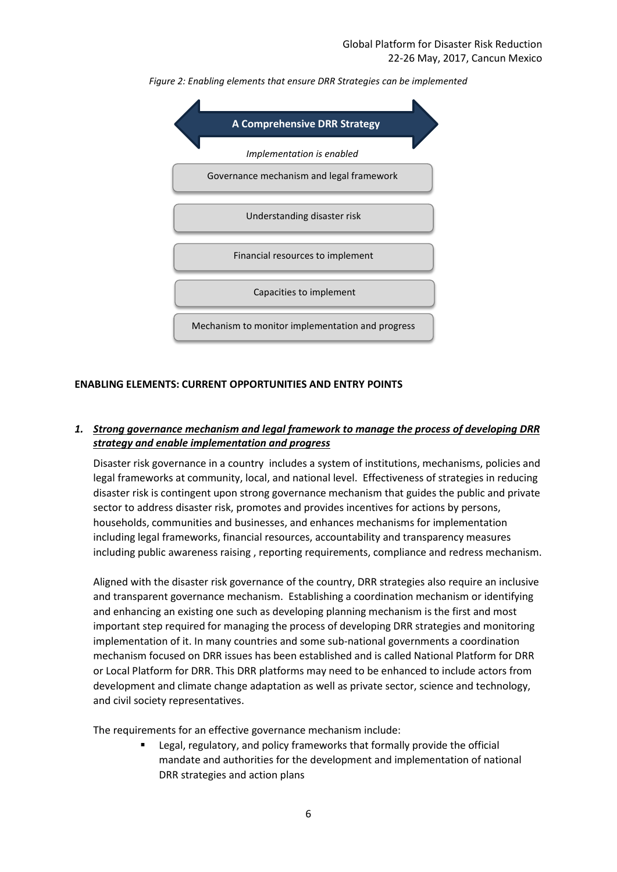

*Figure 2: Enabling elements that ensure DRR Strategies can be implemented*

## **ENABLING ELEMENTS: CURRENT OPPORTUNITIES AND ENTRY POINTS**

#### *1. Strong governance mechanism and legal framework to manage the process of developing DRR strategy and enable implementation and progress*

Disaster risk governance in a country includes a system of institutions, mechanisms, policies and legal frameworks at community, local, and national level. Effectiveness of strategies in reducing disaster risk is contingent upon strong governance mechanism that guides the public and private sector to address disaster risk, promotes and provides incentives for actions by persons, households, communities and businesses, and enhances mechanisms for implementation including legal frameworks, financial resources, accountability and transparency measures including public awareness raising , reporting requirements, compliance and redress mechanism.

Aligned with the disaster risk governance of the country, DRR strategies also require an inclusive and transparent governance mechanism. Establishing a coordination mechanism or identifying and enhancing an existing one such as developing planning mechanism is the first and most important step required for managing the process of developing DRR strategies and monitoring implementation of it. In many countries and some sub-national governments a coordination mechanism focused on DRR issues has been established and is called National Platform for DRR or Local Platform for DRR. This DRR platforms may need to be enhanced to include actors from development and climate change adaptation as well as private sector, science and technology, and civil society representatives.

The requirements for an effective governance mechanism include:

**EXECTED** Legal, regulatory, and policy frameworks that formally provide the official mandate and authorities for the development and implementation of national DRR strategies and action plans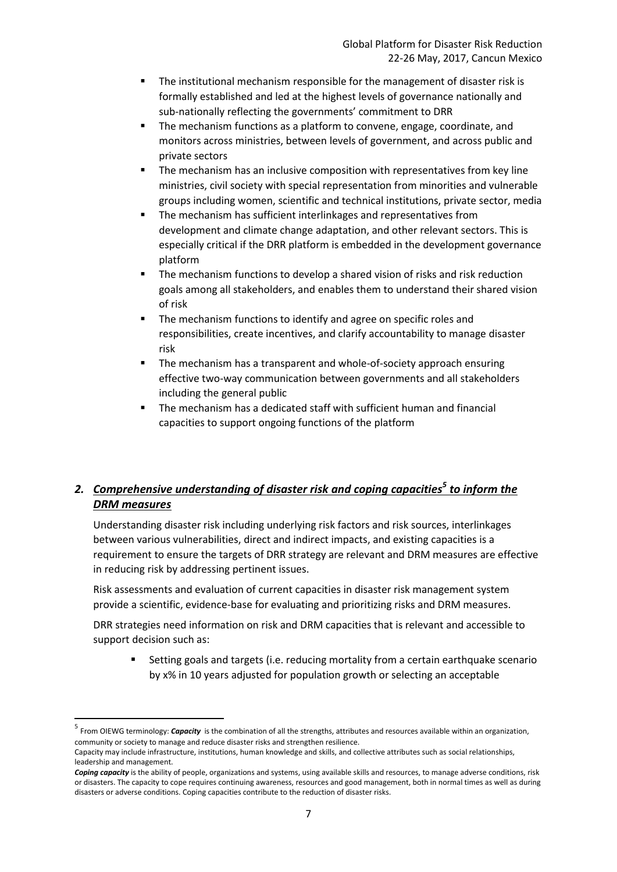- The institutional mechanism responsible for the management of disaster risk is formally established and led at the highest levels of governance nationally and sub-nationally reflecting the governments' commitment to DRR
- The mechanism functions as a platform to convene, engage, coordinate, and monitors across ministries, between levels of government, and across public and private sectors
- The mechanism has an inclusive composition with representatives from key line ministries, civil society with special representation from minorities and vulnerable groups including women, scientific and technical institutions, private sector, media
- The mechanism has sufficient interlinkages and representatives from development and climate change adaptation, and other relevant sectors. This is especially critical if the DRR platform is embedded in the development governance platform
- The mechanism functions to develop a shared vision of risks and risk reduction goals among all stakeholders, and enables them to understand their shared vision of risk
- **The mechanism functions to identify and agree on specific roles and** responsibilities, create incentives, and clarify accountability to manage disaster risk
- The mechanism has a transparent and whole-of-society approach ensuring effective two-way communication between governments and all stakeholders including the general public
- The mechanism has a dedicated staff with sufficient human and financial capacities to support ongoing functions of the platform

## *2. Comprehensive understanding of disaster risk and coping capacities<sup>5</sup> to inform the DRM measures*

Understanding disaster risk including underlying risk factors and risk sources, interlinkages between various vulnerabilities, direct and indirect impacts, and existing capacities is a requirement to ensure the targets of DRR strategy are relevant and DRM measures are effective in reducing risk by addressing pertinent issues.

Risk assessments and evaluation of current capacities in disaster risk management system provide a scientific, evidence-base for evaluating and prioritizing risks and DRM measures.

DRR strategies need information on risk and DRM capacities that is relevant and accessible to support decision such as:

 Setting goals and targets (i.e. reducing mortality from a certain earthquake scenario by x% in 10 years adjusted for population growth or selecting an acceptable

 $\overline{\phantom{a}}$ 

<sup>5</sup> From OIEWG terminology: *Capacity* is the combination of all the strengths, attributes and resources available within an organization, community or society to manage and reduce disaster risks and strengthen resilience.

Capacity may include infrastructure, institutions, human knowledge and skills, and collective attributes such as social relationships, leadership and management.

*Coping capacity* is the ability of people, organizations and systems, using available skills and resources, to manage adverse conditions, risk or disasters. The capacity to cope requires continuing awareness, resources and good management, both in normal times as well as during disasters or adverse conditions. Coping capacities contribute to the reduction of disaster risks.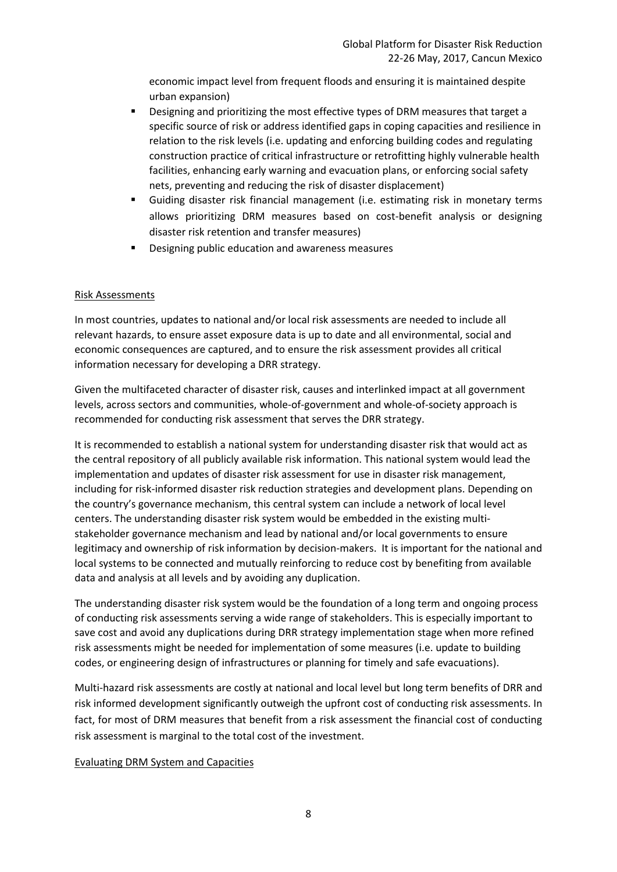economic impact level from frequent floods and ensuring it is maintained despite urban expansion)

- Designing and prioritizing the most effective types of DRM measures that target a specific source of risk or address identified gaps in coping capacities and resilience in relation to the risk levels (i.e. updating and enforcing building codes and regulating construction practice of critical infrastructure or retrofitting highly vulnerable health facilities, enhancing early warning and evacuation plans, or enforcing social safety nets, preventing and reducing the risk of disaster displacement)
- Guiding disaster risk financial management (i.e. estimating risk in monetary terms allows prioritizing DRM measures based on cost-benefit analysis or designing disaster risk retention and transfer measures)
- Designing public education and awareness measures

## Risk Assessments

In most countries, updates to national and/or local risk assessments are needed to include all relevant hazards, to ensure asset exposure data is up to date and all environmental, social and economic consequences are captured, and to ensure the risk assessment provides all critical information necessary for developing a DRR strategy.

Given the multifaceted character of disaster risk, causes and interlinked impact at all government levels, across sectors and communities, whole-of-government and whole-of-society approach is recommended for conducting risk assessment that serves the DRR strategy.

It is recommended to establish a national system for understanding disaster risk that would act as the central repository of all publicly available risk information. This national system would lead the implementation and updates of disaster risk assessment for use in disaster risk management, including for risk-informed disaster risk reduction strategies and development plans. Depending on the country's governance mechanism, this central system can include a network of local level centers. The understanding disaster risk system would be embedded in the existing multistakeholder governance mechanism and lead by national and/or local governments to ensure legitimacy and ownership of risk information by decision-makers. It is important for the national and local systems to be connected and mutually reinforcing to reduce cost by benefiting from available data and analysis at all levels and by avoiding any duplication.

The understanding disaster risk system would be the foundation of a long term and ongoing process of conducting risk assessments serving a wide range of stakeholders. This is especially important to save cost and avoid any duplications during DRR strategy implementation stage when more refined risk assessments might be needed for implementation of some measures (i.e. update to building codes, or engineering design of infrastructures or planning for timely and safe evacuations).

Multi-hazard risk assessments are costly at national and local level but long term benefits of DRR and risk informed development significantly outweigh the upfront cost of conducting risk assessments. In fact, for most of DRM measures that benefit from a risk assessment the financial cost of conducting risk assessment is marginal to the total cost of the investment.

#### Evaluating DRM System and Capacities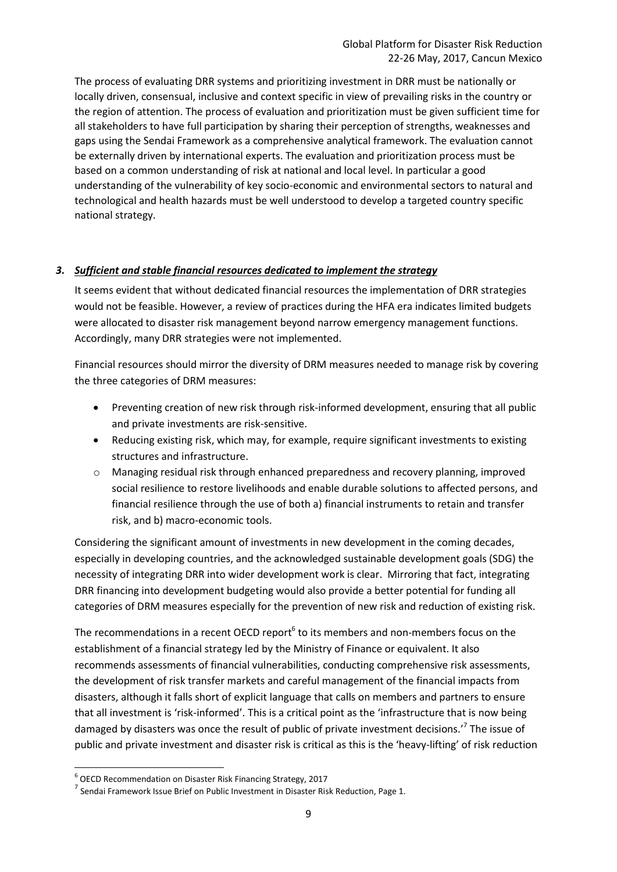The process of evaluating DRR systems and prioritizing investment in DRR must be nationally or locally driven, consensual, inclusive and context specific in view of prevailing risks in the country or the region of attention. The process of evaluation and prioritization must be given sufficient time for all stakeholders to have full participation by sharing their perception of strengths, weaknesses and gaps using the Sendai Framework as a comprehensive analytical framework. The evaluation cannot be externally driven by international experts. The evaluation and prioritization process must be based on a common understanding of risk at national and local level. In particular a good understanding of the vulnerability of key socio-economic and environmental sectors to natural and technological and health hazards must be well understood to develop a targeted country specific national strategy.

## *3. Sufficient and stable financial resources dedicated to implement the strategy*

It seems evident that without dedicated financial resources the implementation of DRR strategies would not be feasible. However, a review of practices during the HFA era indicates limited budgets were allocated to disaster risk management beyond narrow emergency management functions. Accordingly, many DRR strategies were not implemented.

Financial resources should mirror the diversity of DRM measures needed to manage risk by covering the three categories of DRM measures:

- Preventing creation of new risk through risk-informed development, ensuring that all public and private investments are risk-sensitive.
- Reducing existing risk, which may, for example, require significant investments to existing structures and infrastructure.
- o Managing residual risk through enhanced preparedness and recovery planning, improved social resilience to restore livelihoods and enable durable solutions to affected persons, and financial resilience through the use of both a) financial instruments to retain and transfer risk, and b) macro-economic tools.

Considering the significant amount of investments in new development in the coming decades, especially in developing countries, and the acknowledged sustainable development goals (SDG) the necessity of integrating DRR into wider development work is clear. Mirroring that fact, integrating DRR financing into development budgeting would also provide a better potential for funding all categories of DRM measures especially for the prevention of new risk and reduction of existing risk.

The recommendations in a recent OECD report<sup>6</sup> to its members and non-members focus on the establishment of a financial strategy led by the Ministry of Finance or equivalent. It also recommends assessments of financial vulnerabilities, conducting comprehensive risk assessments, the development of risk transfer markets and careful management of the financial impacts from disasters, although it falls short of explicit language that calls on members and partners to ensure that all investment is 'risk-informed'. This is a critical point as the 'infrastructure that is now being damaged by disasters was once the result of public of private investment decisions.<sup>7</sup> The issue of public and private investment and disaster risk is critical as this is the 'heavy-lifting' of risk reduction

**.** 

<sup>6</sup> OECD Recommendation on Disaster Risk Financing Strategy, 2017

 $^7$  Sendai Framework Issue Brief on Public Investment in Disaster Risk Reduction, Page 1.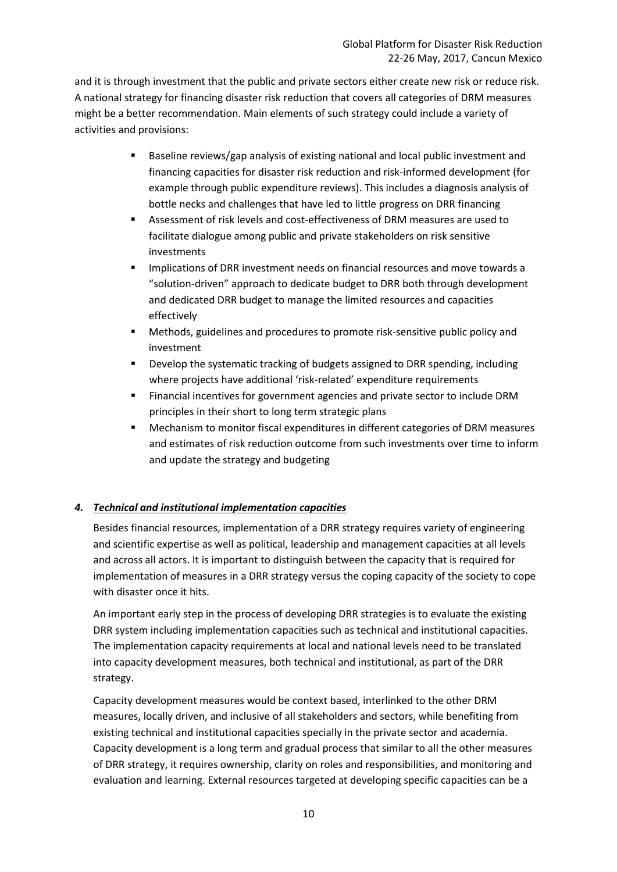and it is through investment that the public and private sectors either create new risk or reduce risk. A national strategy for financing disaster risk reduction that covers all categories of DRM measures might be a better recommendation. Main elements of such strategy could include a variety of activities and provisions:

- Baseline reviews/gap analysis of existing national and local public investment and financing capacities for disaster risk reduction and risk-informed development (for example through public expenditure reviews). This includes a diagnosis analysis of bottle necks and challenges that have led to little progress on DRR financing
- Assessment of risk levels and cost-effectiveness of DRM measures are used to facilitate dialogue among public and private stakeholders on risk sensitive investments
- Implications of DRR investment needs on financial resources and move towards a "solution-driven" approach to dedicate budget to DRR both through development and dedicated DRR budget to manage the limited resources and capacities effectively
- Methods, guidelines and procedures to promote risk-sensitive public policy and investment
- Develop the systematic tracking of budgets assigned to DRR spending, including where projects have additional 'risk-related' expenditure requirements
- Financial incentives for government agencies and private sector to include DRM principles in their short to long term strategic plans
- Mechanism to monitor fiscal expenditures in different categories of DRM measures and estimates of risk reduction outcome from such investments over time to inform and update the strategy and budgeting

## *4. Technical and institutional implementation capacities*

Besides financial resources, implementation of a DRR strategy requires variety of engineering and scientific expertise as well as political, leadership and management capacities at all levels and across all actors. It is important to distinguish between the capacity that is required for implementation of measures in a DRR strategy versus the coping capacity of the society to cope with disaster once it hits.

An important early step in the process of developing DRR strategies is to evaluate the existing DRR system including implementation capacities such as technical and institutional capacities. The implementation capacity requirements at local and national levels need to be translated into capacity development measures, both technical and institutional, as part of the DRR strategy.

Capacity development measures would be context based, interlinked to the other DRM measures, locally driven, and inclusive of all stakeholders and sectors, while benefiting from existing technical and institutional capacities specially in the private sector and academia. Capacity development is a long term and gradual process that similar to all the other measures of DRR strategy, it requires ownership, clarity on roles and responsibilities, and monitoring and evaluation and learning. External resources targeted at developing specific capacities can be a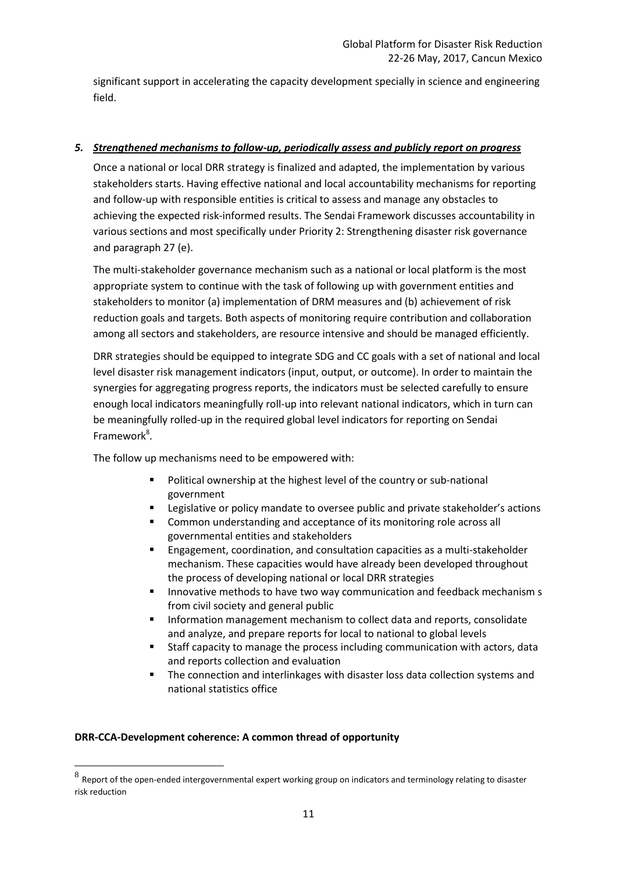significant support in accelerating the capacity development specially in science and engineering field.

## *5. Strengthened mechanisms to follow-up, periodically assess and publicly report on progress*

Once a national or local DRR strategy is finalized and adapted, the implementation by various stakeholders starts. Having effective national and local accountability mechanisms for reporting and follow-up with responsible entities is critical to assess and manage any obstacles to achieving the expected risk-informed results. The Sendai Framework discusses accountability in various sections and most specifically under Priority 2: Strengthening disaster risk governance and paragraph 27 (e).

The multi-stakeholder governance mechanism such as a national or local platform is the most appropriate system to continue with the task of following up with government entities and stakeholders to monitor (a) implementation of DRM measures and (b) achievement of risk reduction goals and targets. Both aspects of monitoring require contribution and collaboration among all sectors and stakeholders, are resource intensive and should be managed efficiently.

DRR strategies should be equipped to integrate SDG and CC goals with a set of national and local level disaster risk management indicators (input, output, or outcome). In order to maintain the synergies for aggregating progress reports, the indicators must be selected carefully to ensure enough local indicators meaningfully roll-up into relevant national indicators, which in turn can be meaningfully rolled-up in the required global level indicators for reporting on Sendai Framework<sup>8</sup>.

The follow up mechanisms need to be empowered with:

- **Political ownership at the highest level of the country or sub-national** government
- Legislative or policy mandate to oversee public and private stakeholder's actions
- **EXECOMMON UNDERTY COMMON EXAM** and acceptance of its monitoring role across all governmental entities and stakeholders
- Engagement, coordination, and consultation capacities as a multi-stakeholder mechanism. These capacities would have already been developed throughout the process of developing national or local DRR strategies
- **Innovative methods to have two way communication and feedback mechanism s** from civil society and general public
- **Information management mechanism to collect data and reports, consolidate** and analyze, and prepare reports for local to national to global levels
- Staff capacity to manage the process including communication with actors, data and reports collection and evaluation
- **The connection and interlinkages with disaster loss data collection systems and** national statistics office

## **DRR-CCA-Development coherence: A common thread of opportunity**

**.** 

 $8$  Report of the open-ended intergovernmental expert working group on indicators and terminology relating to disaster risk reduction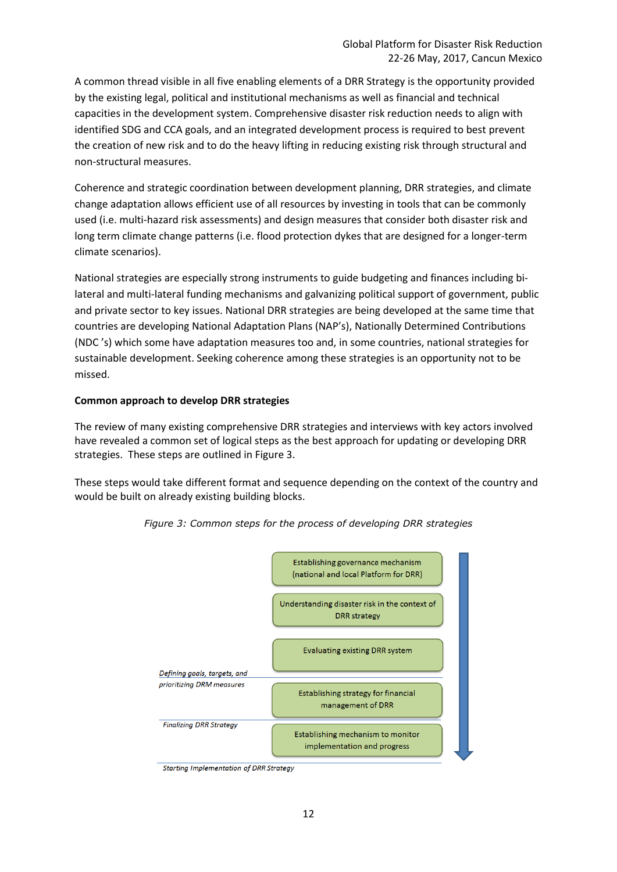A common thread visible in all five enabling elements of a DRR Strategy is the opportunity provided by the existing legal, political and institutional mechanisms as well as financial and technical capacities in the development system. Comprehensive disaster risk reduction needs to align with identified SDG and CCA goals, and an integrated development process is required to best prevent the creation of new risk and to do the heavy lifting in reducing existing risk through structural and non-structural measures.

Coherence and strategic coordination between development planning, DRR strategies, and climate change adaptation allows efficient use of all resources by investing in tools that can be commonly used (i.e. multi-hazard risk assessments) and design measures that consider both disaster risk and long term climate change patterns (i.e. flood protection dykes that are designed for a longer-term climate scenarios).

National strategies are especially strong instruments to guide budgeting and finances including bilateral and multi-lateral funding mechanisms and galvanizing political support of government, public and private sector to key issues. National DRR strategies are being developed at the same time that countries are developing National Adaptation Plans (NAP's), Nationally Determined Contributions (NDC 's) which some have adaptation measures too and, in some countries, national strategies for sustainable development. Seeking coherence among these strategies is an opportunity not to be missed.

#### **Common approach to develop DRR strategies**

The review of many existing comprehensive DRR strategies and interviews with key actors involved have revealed a common set of logical steps as the best approach for updating or developing DRR strategies. These steps are outlined in Figure 3.

These steps would take different format and sequence depending on the context of the country and would be built on already existing building blocks.



*Figure 3: Common steps for the process of developing DRR strategies*

**Starting Implementation of DRR Strategy**